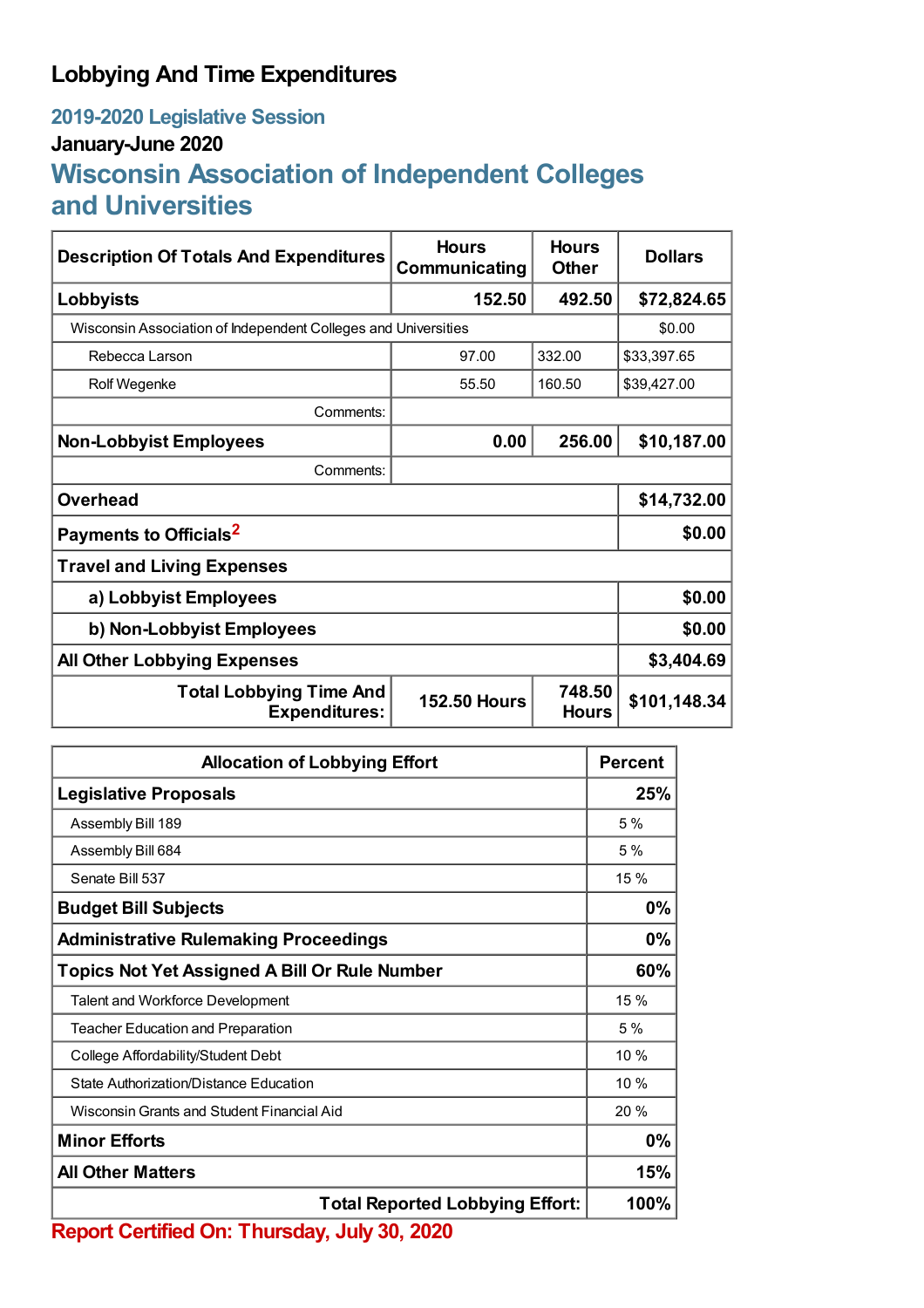### **Lobbying And Time Expenditures**

# **2019-2020 Legislative Session**

#### **January-June 2020**

## **Wisconsin Association of Independent Colleges and Universities**

| <b>Description Of Totals And Expenditures</b>                  | <b>Hours</b><br>Communicating | <b>Hours</b><br><b>Other</b> | <b>Dollars</b> |  |
|----------------------------------------------------------------|-------------------------------|------------------------------|----------------|--|
| Lobbyists                                                      | 152.50                        | 492.50                       | \$72,824.65    |  |
| Wisconsin Association of Independent Colleges and Universities |                               |                              | \$0.00         |  |
| Rebecca Larson                                                 | 97.00                         | 332.00                       | \$33,397.65    |  |
| Rolf Wegenke                                                   | 55.50                         | 160.50                       | \$39,427.00    |  |
| Comments:                                                      |                               |                              |                |  |
| <b>Non-Lobbyist Employees</b>                                  | 0.00                          | 256.00                       | \$10,187.00    |  |
| Comments:                                                      |                               |                              |                |  |
| <b>Overhead</b>                                                | \$14,732.00                   |                              |                |  |
| Payments to Officials <sup>2</sup>                             | \$0.00                        |                              |                |  |
| <b>Travel and Living Expenses</b>                              |                               |                              |                |  |
| a) Lobbyist Employees                                          | \$0.00                        |                              |                |  |
| b) Non-Lobbyist Employees                                      | \$0.00                        |                              |                |  |
| <b>All Other Lobbying Expenses</b>                             |                               |                              | \$3,404.69     |  |
| <b>Total Lobbying Time And</b><br><b>Expenditures:</b>         | <b>152.50 Hours</b>           | 748.50<br><b>Hours</b>       | \$101,148.34   |  |

| <b>Allocation of Lobbying Effort</b>                 |      |
|------------------------------------------------------|------|
| <b>Legislative Proposals</b>                         |      |
| Assembly Bill 189                                    | 5%   |
| Assembly Bill 684                                    | 5%   |
| Senate Bill 537                                      | 15 % |
| <b>Budget Bill Subjects</b>                          | 0%   |
| <b>Administrative Rulemaking Proceedings</b>         | 0%   |
| <b>Topics Not Yet Assigned A Bill Or Rule Number</b> | 60%  |
| Talent and Workforce Development                     | 15%  |
| <b>Teacher Education and Preparation</b>             | 5%   |
| College Affordability/Student Debt                   | 10 % |
| State Authorization/Distance Education               | 10%  |
| Wisconsin Grants and Student Financial Aid           | 20%  |
| <b>Minor Efforts</b>                                 |      |
| <b>All Other Matters</b>                             |      |
| <b>Total Reported Lobbying Effort:</b>               | 100% |

**Report Certified On: Thursday, July 30, 2020**